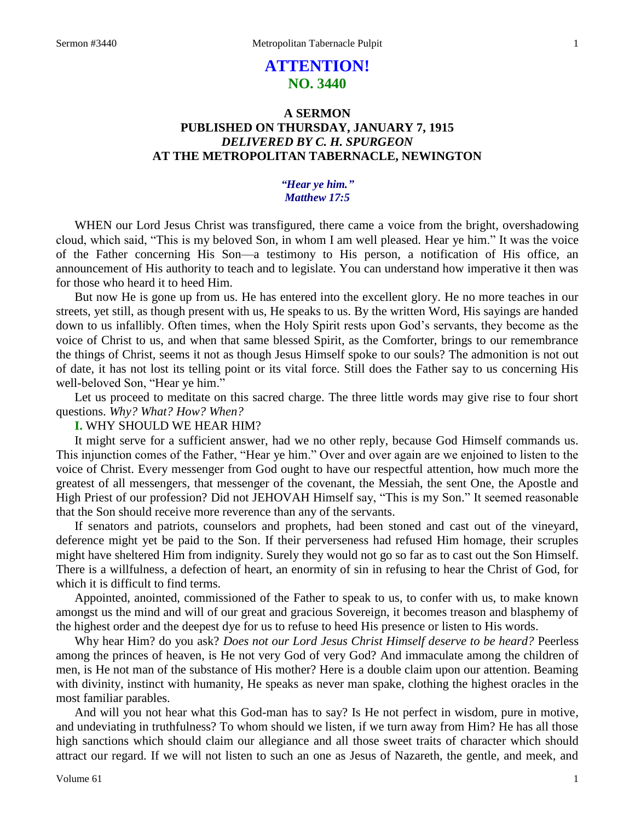# **ATTENTION! NO. 3440**

## **A SERMON PUBLISHED ON THURSDAY, JANUARY 7, 1915** *DELIVERED BY C. H. SPURGEON* **AT THE METROPOLITAN TABERNACLE, NEWINGTON**

### *"Hear ye him." Matthew 17:5*

WHEN our Lord Jesus Christ was transfigured, there came a voice from the bright, overshadowing cloud, which said, "This is my beloved Son, in whom I am well pleased. Hear ye him." It was the voice of the Father concerning His Son—a testimony to His person, a notification of His office, an announcement of His authority to teach and to legislate. You can understand how imperative it then was for those who heard it to heed Him.

But now He is gone up from us. He has entered into the excellent glory. He no more teaches in our streets, yet still, as though present with us, He speaks to us. By the written Word, His sayings are handed down to us infallibly. Often times, when the Holy Spirit rests upon God's servants, they become as the voice of Christ to us, and when that same blessed Spirit, as the Comforter, brings to our remembrance the things of Christ, seems it not as though Jesus Himself spoke to our souls? The admonition is not out of date, it has not lost its telling point or its vital force. Still does the Father say to us concerning His well-beloved Son, "Hear ye him."

Let us proceed to meditate on this sacred charge. The three little words may give rise to four short questions. *Why? What? How? When?* 

### **I.** WHY SHOULD WE HEAR HIM?

It might serve for a sufficient answer, had we no other reply, because God Himself commands us. This injunction comes of the Father, "Hear ye him." Over and over again are we enjoined to listen to the voice of Christ. Every messenger from God ought to have our respectful attention, how much more the greatest of all messengers, that messenger of the covenant, the Messiah, the sent One, the Apostle and High Priest of our profession? Did not JEHOVAH Himself say, "This is my Son." It seemed reasonable that the Son should receive more reverence than any of the servants.

If senators and patriots, counselors and prophets, had been stoned and cast out of the vineyard, deference might yet be paid to the Son. If their perverseness had refused Him homage, their scruples might have sheltered Him from indignity. Surely they would not go so far as to cast out the Son Himself. There is a willfulness, a defection of heart, an enormity of sin in refusing to hear the Christ of God, for which it is difficult to find terms.

Appointed, anointed, commissioned of the Father to speak to us, to confer with us, to make known amongst us the mind and will of our great and gracious Sovereign, it becomes treason and blasphemy of the highest order and the deepest dye for us to refuse to heed His presence or listen to His words.

Why hear Him? do you ask? *Does not our Lord Jesus Christ Himself deserve to be heard?* Peerless among the princes of heaven, is He not very God of very God? And immaculate among the children of men, is He not man of the substance of His mother? Here is a double claim upon our attention. Beaming with divinity, instinct with humanity, He speaks as never man spake, clothing the highest oracles in the most familiar parables.

And will you not hear what this God-man has to say? Is He not perfect in wisdom, pure in motive, and undeviating in truthfulness? To whom should we listen, if we turn away from Him? He has all those high sanctions which should claim our allegiance and all those sweet traits of character which should attract our regard. If we will not listen to such an one as Jesus of Nazareth, the gentle, and meek, and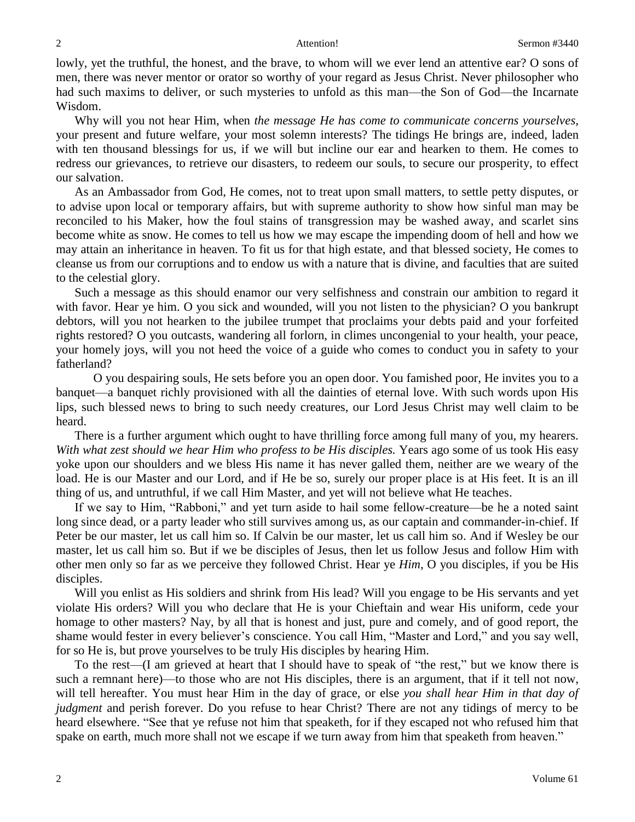lowly, yet the truthful, the honest, and the brave, to whom will we ever lend an attentive ear? O sons of men, there was never mentor or orator so worthy of your regard as Jesus Christ. Never philosopher who had such maxims to deliver, or such mysteries to unfold as this man—the Son of God—the Incarnate Wisdom.

Why will you not hear Him, when *the message He has come to communicate concerns yourselves*, your present and future welfare, your most solemn interests? The tidings He brings are, indeed, laden with ten thousand blessings for us, if we will but incline our ear and hearken to them. He comes to redress our grievances, to retrieve our disasters, to redeem our souls, to secure our prosperity, to effect our salvation.

As an Ambassador from God, He comes, not to treat upon small matters, to settle petty disputes, or to advise upon local or temporary affairs, but with supreme authority to show how sinful man may be reconciled to his Maker, how the foul stains of transgression may be washed away, and scarlet sins become white as snow. He comes to tell us how we may escape the impending doom of hell and how we may attain an inheritance in heaven. To fit us for that high estate, and that blessed society, He comes to cleanse us from our corruptions and to endow us with a nature that is divine, and faculties that are suited to the celestial glory.

Such a message as this should enamor our very selfishness and constrain our ambition to regard it with favor. Hear ye him. O you sick and wounded, will you not listen to the physician? O you bankrupt debtors, will you not hearken to the jubilee trumpet that proclaims your debts paid and your forfeited rights restored? O you outcasts, wandering all forlorn, in climes uncongenial to your health, your peace, your homely joys, will you not heed the voice of a guide who comes to conduct you in safety to your fatherland?

O you despairing souls, He sets before you an open door. You famished poor, He invites you to a banquet—a banquet richly provisioned with all the dainties of eternal love. With such words upon His lips, such blessed news to bring to such needy creatures, our Lord Jesus Christ may well claim to be heard.

There is a further argument which ought to have thrilling force among full many of you, my hearers. *With what zest should we hear Him who profess to be His disciples.* Years ago some of us took His easy yoke upon our shoulders and we bless His name it has never galled them, neither are we weary of the load. He is our Master and our Lord, and if He be so, surely our proper place is at His feet. It is an ill thing of us, and untruthful, if we call Him Master, and yet will not believe what He teaches.

If we say to Him, "Rabboni," and yet turn aside to hail some fellow-creature—be he a noted saint long since dead, or a party leader who still survives among us, as our captain and commander-in-chief. If Peter be our master, let us call him so. If Calvin be our master, let us call him so. And if Wesley be our master, let us call him so. But if we be disciples of Jesus, then let us follow Jesus and follow Him with other men only so far as we perceive they followed Christ. Hear ye *Him*, O you disciples, if you be His disciples.

Will you enlist as His soldiers and shrink from His lead? Will you engage to be His servants and yet violate His orders? Will you who declare that He is your Chieftain and wear His uniform, cede your homage to other masters? Nay, by all that is honest and just, pure and comely, and of good report, the shame would fester in every believer's conscience. You call Him, "Master and Lord," and you say well, for so He is, but prove yourselves to be truly His disciples by hearing Him.

To the rest—(I am grieved at heart that I should have to speak of "the rest," but we know there is such a remnant here)—to those who are not His disciples, there is an argument, that if it tell not now, will tell hereafter. You must hear Him in the day of grace, or else *you shall hear Him in that day of judgment* and perish forever. Do you refuse to hear Christ? There are not any tidings of mercy to be heard elsewhere. "See that ye refuse not him that speaketh, for if they escaped not who refused him that spake on earth, much more shall not we escape if we turn away from him that speaketh from heaven."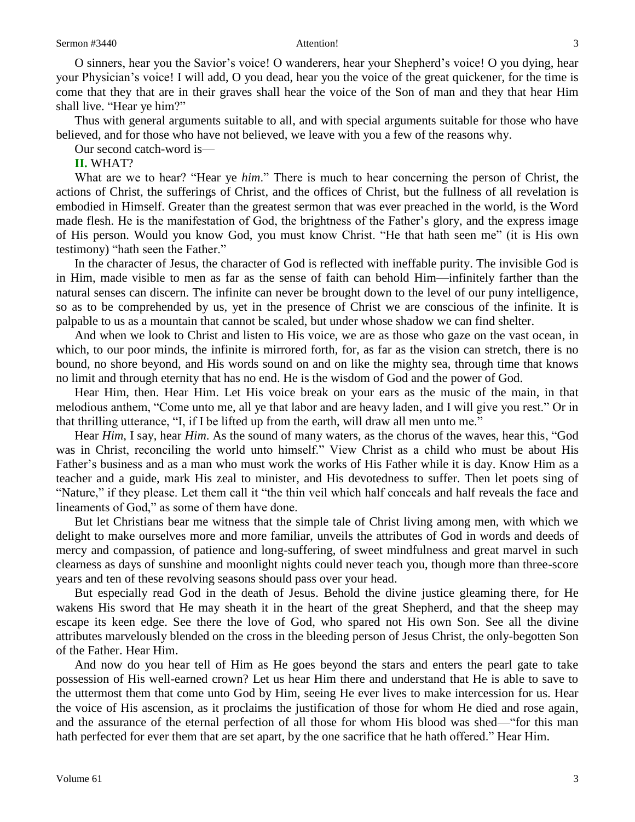O sinners, hear you the Savior's voice! O wanderers, hear your Shepherd's voice! O you dying, hear your Physician's voice! I will add, O you dead, hear you the voice of the great quickener, for the time is come that they that are in their graves shall hear the voice of the Son of man and they that hear Him shall live. "Hear ye him?"

Thus with general arguments suitable to all, and with special arguments suitable for those who have believed, and for those who have not believed, we leave with you a few of the reasons why.

Our second catch-word is—

### **II.** WHAT?

What are we to hear? "Hear ye *him*." There is much to hear concerning the person of Christ, the actions of Christ, the sufferings of Christ, and the offices of Christ, but the fullness of all revelation is embodied in Himself. Greater than the greatest sermon that was ever preached in the world, is the Word made flesh. He is the manifestation of God, the brightness of the Father's glory, and the express image of His person. Would you know God, you must know Christ. "He that hath seen me" (it is His own testimony) "hath seen the Father."

In the character of Jesus, the character of God is reflected with ineffable purity. The invisible God is in Him, made visible to men as far as the sense of faith can behold Him—infinitely farther than the natural senses can discern. The infinite can never be brought down to the level of our puny intelligence, so as to be comprehended by us, yet in the presence of Christ we are conscious of the infinite. It is palpable to us as a mountain that cannot be scaled, but under whose shadow we can find shelter.

And when we look to Christ and listen to His voice, we are as those who gaze on the vast ocean, in which, to our poor minds, the infinite is mirrored forth, for, as far as the vision can stretch, there is no bound, no shore beyond, and His words sound on and on like the mighty sea, through time that knows no limit and through eternity that has no end. He is the wisdom of God and the power of God.

Hear Him, then. Hear Him. Let His voice break on your ears as the music of the main, in that melodious anthem, "Come unto me, all ye that labor and are heavy laden, and I will give you rest." Or in that thrilling utterance, "I, if I be lifted up from the earth, will draw all men unto me."

Hear *Him*, I say, hear *Him*. As the sound of many waters, as the chorus of the waves, hear this, "God was in Christ, reconciling the world unto himself." View Christ as a child who must be about His Father's business and as a man who must work the works of His Father while it is day. Know Him as a teacher and a guide, mark His zeal to minister, and His devotedness to suffer. Then let poets sing of "Nature," if they please. Let them call it "the thin veil which half conceals and half reveals the face and lineaments of God," as some of them have done.

But let Christians bear me witness that the simple tale of Christ living among men, with which we delight to make ourselves more and more familiar, unveils the attributes of God in words and deeds of mercy and compassion, of patience and long-suffering, of sweet mindfulness and great marvel in such clearness as days of sunshine and moonlight nights could never teach you, though more than three-score years and ten of these revolving seasons should pass over your head.

But especially read God in the death of Jesus. Behold the divine justice gleaming there, for He wakens His sword that He may sheath it in the heart of the great Shepherd, and that the sheep may escape its keen edge. See there the love of God, who spared not His own Son. See all the divine attributes marvelously blended on the cross in the bleeding person of Jesus Christ, the only-begotten Son of the Father. Hear Him.

And now do you hear tell of Him as He goes beyond the stars and enters the pearl gate to take possession of His well-earned crown? Let us hear Him there and understand that He is able to save to the uttermost them that come unto God by Him, seeing He ever lives to make intercession for us. Hear the voice of His ascension, as it proclaims the justification of those for whom He died and rose again, and the assurance of the eternal perfection of all those for whom His blood was shed—"for this man hath perfected for ever them that are set apart, by the one sacrifice that he hath offered." Hear Him.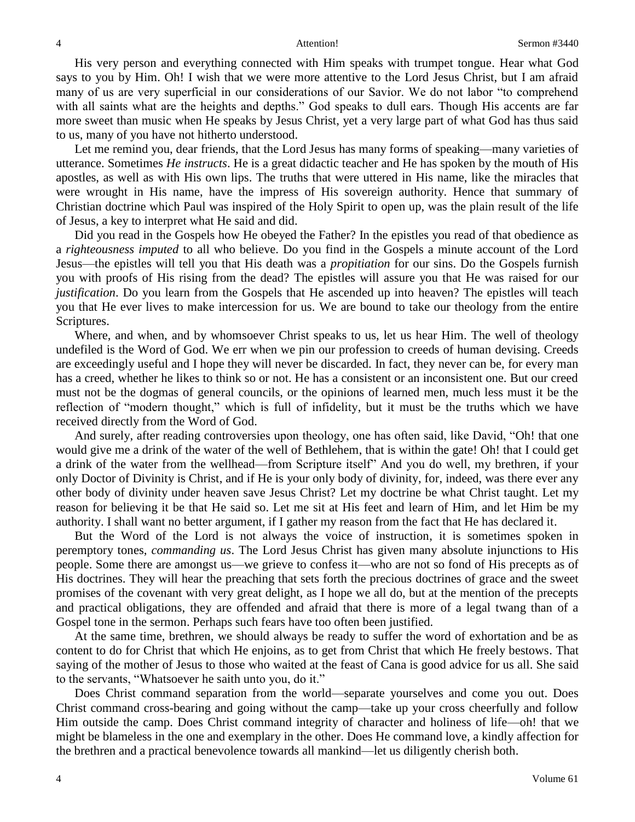His very person and everything connected with Him speaks with trumpet tongue. Hear what God says to you by Him. Oh! I wish that we were more attentive to the Lord Jesus Christ, but I am afraid many of us are very superficial in our considerations of our Savior. We do not labor "to comprehend with all saints what are the heights and depths." God speaks to dull ears. Though His accents are far more sweet than music when He speaks by Jesus Christ, yet a very large part of what God has thus said to us, many of you have not hitherto understood.

Let me remind you, dear friends, that the Lord Jesus has many forms of speaking—many varieties of utterance. Sometimes *He instructs*. He is a great didactic teacher and He has spoken by the mouth of His apostles, as well as with His own lips. The truths that were uttered in His name, like the miracles that were wrought in His name, have the impress of His sovereign authority. Hence that summary of Christian doctrine which Paul was inspired of the Holy Spirit to open up, was the plain result of the life of Jesus, a key to interpret what He said and did.

Did you read in the Gospels how He obeyed the Father? In the epistles you read of that obedience as a *righteousness imputed* to all who believe. Do you find in the Gospels a minute account of the Lord Jesus—the epistles will tell you that His death was a *propitiation* for our sins. Do the Gospels furnish you with proofs of His rising from the dead? The epistles will assure you that He was raised for our *justification*. Do you learn from the Gospels that He ascended up into heaven? The epistles will teach you that He ever lives to make intercession for us. We are bound to take our theology from the entire Scriptures.

Where, and when, and by whomsoever Christ speaks to us, let us hear Him. The well of theology undefiled is the Word of God. We err when we pin our profession to creeds of human devising. Creeds are exceedingly useful and I hope they will never be discarded. In fact, they never can be, for every man has a creed, whether he likes to think so or not. He has a consistent or an inconsistent one. But our creed must not be the dogmas of general councils, or the opinions of learned men, much less must it be the reflection of "modern thought," which is full of infidelity, but it must be the truths which we have received directly from the Word of God.

And surely, after reading controversies upon theology, one has often said, like David, "Oh! that one would give me a drink of the water of the well of Bethlehem, that is within the gate! Oh! that I could get a drink of the water from the wellhead—from Scripture itself" And you do well, my brethren, if your only Doctor of Divinity is Christ, and if He is your only body of divinity, for, indeed, was there ever any other body of divinity under heaven save Jesus Christ? Let my doctrine be what Christ taught. Let my reason for believing it be that He said so. Let me sit at His feet and learn of Him, and let Him be my authority. I shall want no better argument, if I gather my reason from the fact that He has declared it.

But the Word of the Lord is not always the voice of instruction, it is sometimes spoken in peremptory tones, *commanding us*. The Lord Jesus Christ has given many absolute injunctions to His people. Some there are amongst us—we grieve to confess it—who are not so fond of His precepts as of His doctrines. They will hear the preaching that sets forth the precious doctrines of grace and the sweet promises of the covenant with very great delight, as I hope we all do, but at the mention of the precepts and practical obligations, they are offended and afraid that there is more of a legal twang than of a Gospel tone in the sermon. Perhaps such fears have too often been justified.

At the same time, brethren, we should always be ready to suffer the word of exhortation and be as content to do for Christ that which He enjoins, as to get from Christ that which He freely bestows. That saying of the mother of Jesus to those who waited at the feast of Cana is good advice for us all. She said to the servants, "Whatsoever he saith unto you, do it."

Does Christ command separation from the world—separate yourselves and come you out. Does Christ command cross-bearing and going without the camp—take up your cross cheerfully and follow Him outside the camp. Does Christ command integrity of character and holiness of life—oh! that we might be blameless in the one and exemplary in the other. Does He command love, a kindly affection for the brethren and a practical benevolence towards all mankind—let us diligently cherish both.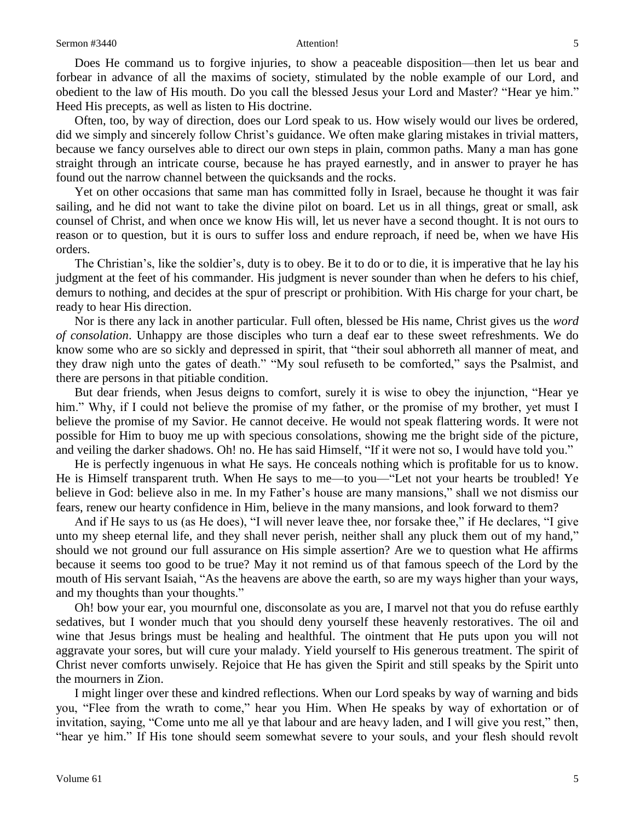Does He command us to forgive injuries, to show a peaceable disposition—then let us bear and forbear in advance of all the maxims of society, stimulated by the noble example of our Lord, and obedient to the law of His mouth. Do you call the blessed Jesus your Lord and Master? "Hear ye him." Heed His precepts, as well as listen to His doctrine.

Often, too, by way of direction, does our Lord speak to us. How wisely would our lives be ordered, did we simply and sincerely follow Christ's guidance. We often make glaring mistakes in trivial matters, because we fancy ourselves able to direct our own steps in plain, common paths. Many a man has gone straight through an intricate course, because he has prayed earnestly, and in answer to prayer he has found out the narrow channel between the quicksands and the rocks.

Yet on other occasions that same man has committed folly in Israel, because he thought it was fair sailing, and he did not want to take the divine pilot on board. Let us in all things, great or small, ask counsel of Christ, and when once we know His will, let us never have a second thought. It is not ours to reason or to question, but it is ours to suffer loss and endure reproach, if need be, when we have His orders.

The Christian's, like the soldier's, duty is to obey. Be it to do or to die, it is imperative that he lay his judgment at the feet of his commander. His judgment is never sounder than when he defers to his chief, demurs to nothing, and decides at the spur of prescript or prohibition. With His charge for your chart, be ready to hear His direction.

Nor is there any lack in another particular. Full often, blessed be His name, Christ gives us the *word of consolation*. Unhappy are those disciples who turn a deaf ear to these sweet refreshments. We do know some who are so sickly and depressed in spirit, that "their soul abhorreth all manner of meat, and they draw nigh unto the gates of death." "My soul refuseth to be comforted," says the Psalmist, and there are persons in that pitiable condition.

But dear friends, when Jesus deigns to comfort, surely it is wise to obey the injunction, "Hear ye him." Why, if I could not believe the promise of my father, or the promise of my brother, yet must I believe the promise of my Savior. He cannot deceive. He would not speak flattering words. It were not possible for Him to buoy me up with specious consolations, showing me the bright side of the picture, and veiling the darker shadows. Oh! no. He has said Himself, "If it were not so, I would have told you."

He is perfectly ingenuous in what He says. He conceals nothing which is profitable for us to know. He is Himself transparent truth. When He says to me—to you—"Let not your hearts be troubled! Ye believe in God: believe also in me. In my Father's house are many mansions," shall we not dismiss our fears, renew our hearty confidence in Him, believe in the many mansions, and look forward to them?

And if He says to us (as He does), "I will never leave thee, nor forsake thee," if He declares, "I give unto my sheep eternal life, and they shall never perish, neither shall any pluck them out of my hand," should we not ground our full assurance on His simple assertion? Are we to question what He affirms because it seems too good to be true? May it not remind us of that famous speech of the Lord by the mouth of His servant Isaiah, "As the heavens are above the earth, so are my ways higher than your ways, and my thoughts than your thoughts."

Oh! bow your ear, you mournful one, disconsolate as you are, I marvel not that you do refuse earthly sedatives, but I wonder much that you should deny yourself these heavenly restoratives. The oil and wine that Jesus brings must be healing and healthful. The ointment that He puts upon you will not aggravate your sores, but will cure your malady. Yield yourself to His generous treatment. The spirit of Christ never comforts unwisely. Rejoice that He has given the Spirit and still speaks by the Spirit unto the mourners in Zion.

I might linger over these and kindred reflections. When our Lord speaks by way of warning and bids you, "Flee from the wrath to come," hear you Him. When He speaks by way of exhortation or of invitation, saying, "Come unto me all ye that labour and are heavy laden, and I will give you rest," then, "hear ye him." If His tone should seem somewhat severe to your souls, and your flesh should revolt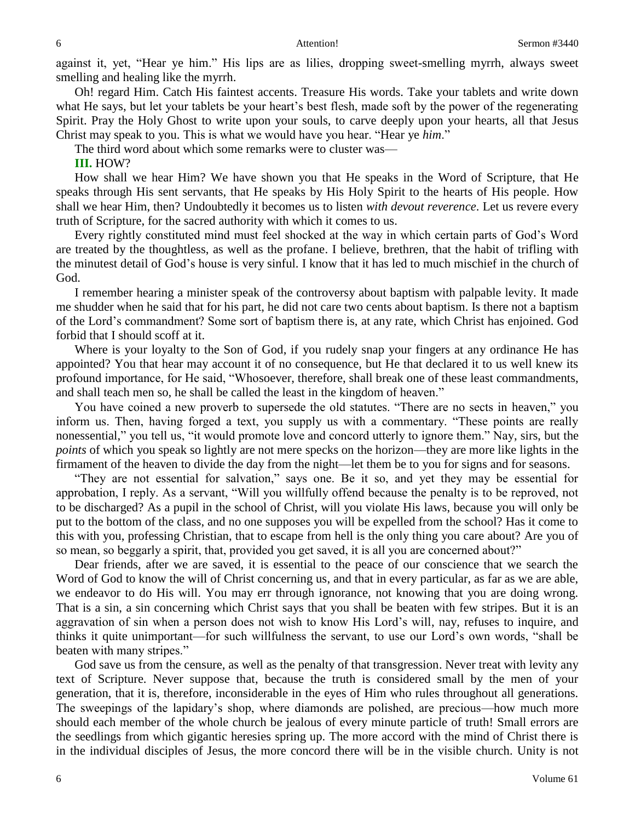against it, yet, "Hear ye him." His lips are as lilies, dropping sweet-smelling myrrh, always sweet smelling and healing like the myrrh.

Oh! regard Him. Catch His faintest accents. Treasure His words. Take your tablets and write down what He says, but let your tablets be your heart's best flesh, made soft by the power of the regenerating Spirit. Pray the Holy Ghost to write upon your souls, to carve deeply upon your hearts, all that Jesus Christ may speak to you. This is what we would have you hear. "Hear ye *him*."

The third word about which some remarks were to cluster was—

### **III.** HOW?

How shall we hear Him? We have shown you that He speaks in the Word of Scripture, that He speaks through His sent servants, that He speaks by His Holy Spirit to the hearts of His people. How shall we hear Him, then? Undoubtedly it becomes us to listen *with devout reverence*. Let us revere every truth of Scripture, for the sacred authority with which it comes to us.

Every rightly constituted mind must feel shocked at the way in which certain parts of God's Word are treated by the thoughtless, as well as the profane. I believe, brethren, that the habit of trifling with the minutest detail of God's house is very sinful. I know that it has led to much mischief in the church of God.

I remember hearing a minister speak of the controversy about baptism with palpable levity. It made me shudder when he said that for his part, he did not care two cents about baptism. Is there not a baptism of the Lord's commandment? Some sort of baptism there is, at any rate, which Christ has enjoined. God forbid that I should scoff at it.

Where is your loyalty to the Son of God, if you rudely snap your fingers at any ordinance He has appointed? You that hear may account it of no consequence, but He that declared it to us well knew its profound importance, for He said, "Whosoever, therefore, shall break one of these least commandments, and shall teach men so, he shall be called the least in the kingdom of heaven."

You have coined a new proverb to supersede the old statutes. "There are no sects in heaven," you inform us. Then, having forged a text, you supply us with a commentary. "These points are really nonessential," you tell us, "it would promote love and concord utterly to ignore them." Nay, sirs, but the *points* of which you speak so lightly are not mere specks on the horizon—they are more like lights in the firmament of the heaven to divide the day from the night—let them be to you for signs and for seasons.

"They are not essential for salvation," says one. Be it so, and yet they may be essential for approbation, I reply. As a servant, "Will you willfully offend because the penalty is to be reproved, not to be discharged? As a pupil in the school of Christ, will you violate His laws, because you will only be put to the bottom of the class, and no one supposes you will be expelled from the school? Has it come to this with you, professing Christian, that to escape from hell is the only thing you care about? Are you of so mean, so beggarly a spirit, that, provided you get saved, it is all you are concerned about?"

Dear friends, after we are saved, it is essential to the peace of our conscience that we search the Word of God to know the will of Christ concerning us, and that in every particular, as far as we are able, we endeavor to do His will. You may err through ignorance, not knowing that you are doing wrong. That is a sin, a sin concerning which Christ says that you shall be beaten with few stripes. But it is an aggravation of sin when a person does not wish to know His Lord's will, nay, refuses to inquire, and thinks it quite unimportant—for such willfulness the servant, to use our Lord's own words, "shall be beaten with many stripes."

God save us from the censure, as well as the penalty of that transgression. Never treat with levity any text of Scripture. Never suppose that, because the truth is considered small by the men of your generation, that it is, therefore, inconsiderable in the eyes of Him who rules throughout all generations. The sweepings of the lapidary's shop, where diamonds are polished, are precious—how much more should each member of the whole church be jealous of every minute particle of truth! Small errors are the seedlings from which gigantic heresies spring up. The more accord with the mind of Christ there is in the individual disciples of Jesus, the more concord there will be in the visible church. Unity is not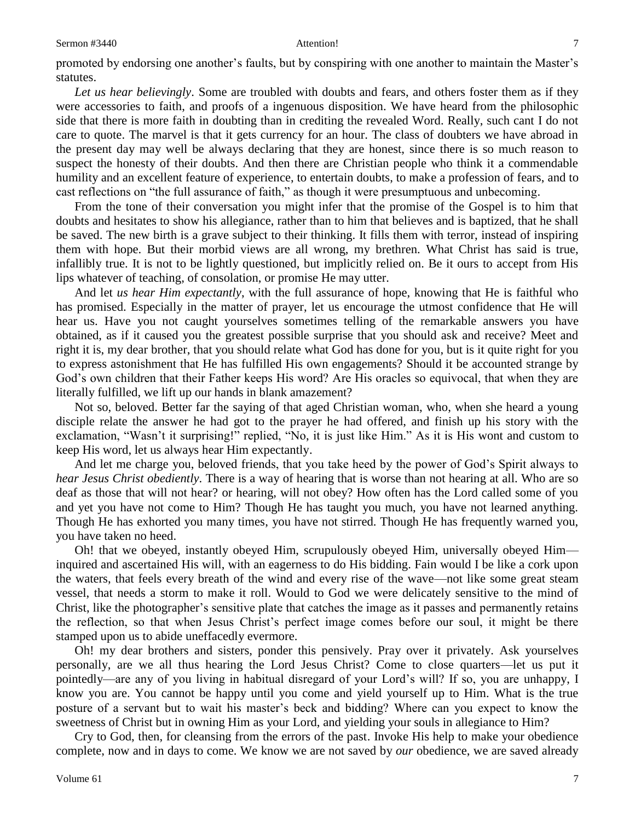promoted by endorsing one another's faults, but by conspiring with one another to maintain the Master's statutes.

*Let us hear believingly*. Some are troubled with doubts and fears, and others foster them as if they were accessories to faith, and proofs of a ingenuous disposition. We have heard from the philosophic side that there is more faith in doubting than in crediting the revealed Word. Really, such cant I do not care to quote. The marvel is that it gets currency for an hour. The class of doubters we have abroad in the present day may well be always declaring that they are honest, since there is so much reason to suspect the honesty of their doubts. And then there are Christian people who think it a commendable humility and an excellent feature of experience, to entertain doubts, to make a profession of fears, and to cast reflections on "the full assurance of faith," as though it were presumptuous and unbecoming.

From the tone of their conversation you might infer that the promise of the Gospel is to him that doubts and hesitates to show his allegiance, rather than to him that believes and is baptized, that he shall be saved. The new birth is a grave subject to their thinking. It fills them with terror, instead of inspiring them with hope. But their morbid views are all wrong, my brethren. What Christ has said is true, infallibly true. It is not to be lightly questioned, but implicitly relied on. Be it ours to accept from His lips whatever of teaching, of consolation, or promise He may utter.

And let *us hear Him expectantly*, with the full assurance of hope, knowing that He is faithful who has promised. Especially in the matter of prayer, let us encourage the utmost confidence that He will hear us. Have you not caught yourselves sometimes telling of the remarkable answers you have obtained, as if it caused you the greatest possible surprise that you should ask and receive? Meet and right it is, my dear brother, that you should relate what God has done for you, but is it quite right for you to express astonishment that He has fulfilled His own engagements? Should it be accounted strange by God's own children that their Father keeps His word? Are His oracles so equivocal, that when they are literally fulfilled, we lift up our hands in blank amazement?

Not so, beloved. Better far the saying of that aged Christian woman, who, when she heard a young disciple relate the answer he had got to the prayer he had offered, and finish up his story with the exclamation, "Wasn't it surprising!" replied, "No, it is just like Him." As it is His wont and custom to keep His word, let us always hear Him expectantly.

And let me charge you, beloved friends, that you take heed by the power of God's Spirit always to *hear Jesus Christ obediently*. There is a way of hearing that is worse than not hearing at all. Who are so deaf as those that will not hear? or hearing, will not obey? How often has the Lord called some of you and yet you have not come to Him? Though He has taught you much, you have not learned anything. Though He has exhorted you many times, you have not stirred. Though He has frequently warned you, you have taken no heed.

Oh! that we obeyed, instantly obeyed Him, scrupulously obeyed Him, universally obeyed Him inquired and ascertained His will, with an eagerness to do His bidding. Fain would I be like a cork upon the waters, that feels every breath of the wind and every rise of the wave—not like some great steam vessel, that needs a storm to make it roll. Would to God we were delicately sensitive to the mind of Christ, like the photographer's sensitive plate that catches the image as it passes and permanently retains the reflection, so that when Jesus Christ's perfect image comes before our soul, it might be there stamped upon us to abide uneffacedly evermore.

Oh! my dear brothers and sisters, ponder this pensively. Pray over it privately. Ask yourselves personally, are we all thus hearing the Lord Jesus Christ? Come to close quarters—let us put it pointedly—are any of you living in habitual disregard of your Lord's will? If so, you are unhappy, I know you are. You cannot be happy until you come and yield yourself up to Him. What is the true posture of a servant but to wait his master's beck and bidding? Where can you expect to know the sweetness of Christ but in owning Him as your Lord, and yielding your souls in allegiance to Him?

Cry to God, then, for cleansing from the errors of the past. Invoke His help to make your obedience complete, now and in days to come. We know we are not saved by *our* obedience, we are saved already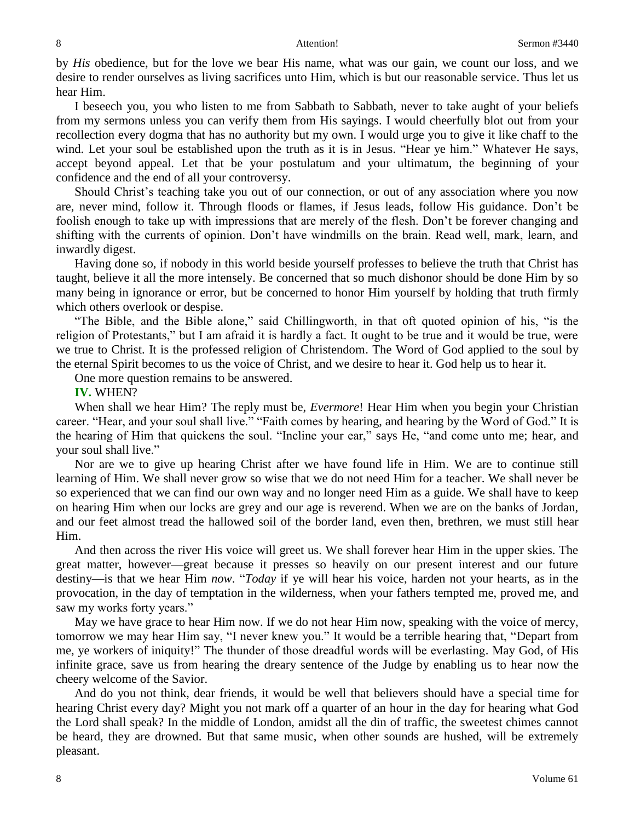by *His* obedience, but for the love we bear His name, what was our gain, we count our loss, and we desire to render ourselves as living sacrifices unto Him, which is but our reasonable service. Thus let us hear Him.

I beseech you, you who listen to me from Sabbath to Sabbath, never to take aught of your beliefs from my sermons unless you can verify them from His sayings. I would cheerfully blot out from your recollection every dogma that has no authority but my own. I would urge you to give it like chaff to the wind. Let your soul be established upon the truth as it is in Jesus. "Hear ye him." Whatever He says, accept beyond appeal. Let that be your postulatum and your ultimatum, the beginning of your confidence and the end of all your controversy.

Should Christ's teaching take you out of our connection, or out of any association where you now are, never mind, follow it. Through floods or flames, if Jesus leads, follow His guidance. Don't be foolish enough to take up with impressions that are merely of the flesh. Don't be forever changing and shifting with the currents of opinion. Don't have windmills on the brain. Read well, mark, learn, and inwardly digest.

Having done so, if nobody in this world beside yourself professes to believe the truth that Christ has taught, believe it all the more intensely. Be concerned that so much dishonor should be done Him by so many being in ignorance or error, but be concerned to honor Him yourself by holding that truth firmly which others overlook or despise.

"The Bible, and the Bible alone," said Chillingworth, in that oft quoted opinion of his, "is the religion of Protestants," but I am afraid it is hardly a fact. It ought to be true and it would be true, were we true to Christ. It is the professed religion of Christendom. The Word of God applied to the soul by the eternal Spirit becomes to us the voice of Christ, and we desire to hear it. God help us to hear it.

One more question remains to be answered.

**IV.** WHEN?

When shall we hear Him? The reply must be, *Evermore*! Hear Him when you begin your Christian career. "Hear, and your soul shall live." "Faith comes by hearing, and hearing by the Word of God." It is the hearing of Him that quickens the soul. "Incline your ear," says He, "and come unto me; hear, and your soul shall live."

Nor are we to give up hearing Christ after we have found life in Him. We are to continue still learning of Him. We shall never grow so wise that we do not need Him for a teacher. We shall never be so experienced that we can find our own way and no longer need Him as a guide. We shall have to keep on hearing Him when our locks are grey and our age is reverend. When we are on the banks of Jordan, and our feet almost tread the hallowed soil of the border land, even then, brethren, we must still hear Him.

And then across the river His voice will greet us. We shall forever hear Him in the upper skies. The great matter, however—great because it presses so heavily on our present interest and our future destiny—is that we hear Him *now*. "*Today* if ye will hear his voice, harden not your hearts, as in the provocation, in the day of temptation in the wilderness, when your fathers tempted me, proved me, and saw my works forty years."

May we have grace to hear Him now. If we do not hear Him now, speaking with the voice of mercy, tomorrow we may hear Him say, "I never knew you." It would be a terrible hearing that, "Depart from me, ye workers of iniquity!" The thunder of those dreadful words will be everlasting. May God, of His infinite grace, save us from hearing the dreary sentence of the Judge by enabling us to hear now the cheery welcome of the Savior.

And do you not think, dear friends, it would be well that believers should have a special time for hearing Christ every day? Might you not mark off a quarter of an hour in the day for hearing what God the Lord shall speak? In the middle of London, amidst all the din of traffic, the sweetest chimes cannot be heard, they are drowned. But that same music, when other sounds are hushed, will be extremely pleasant.